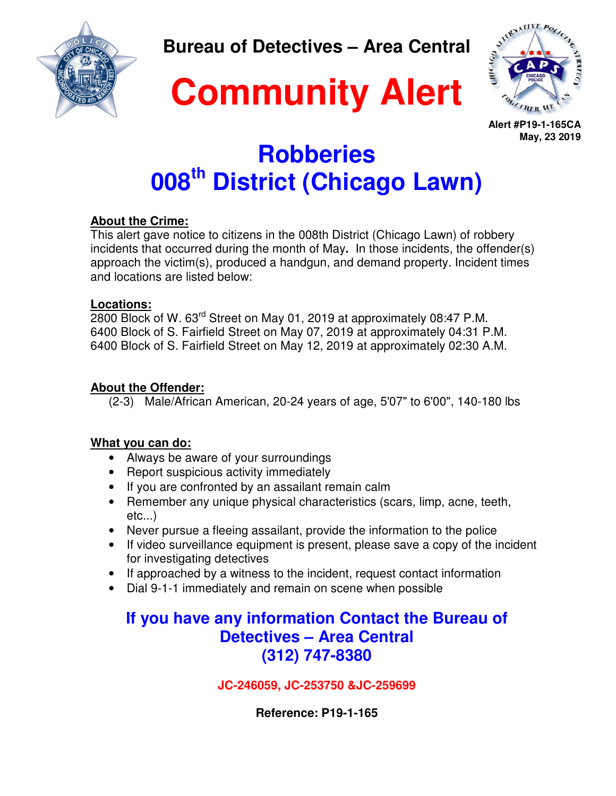**Bureau of Detectives – Area Central** 

**Community Alert**



**Alert #P19-1-165CA May, 23 2019**

# **Robberies 008th District (Chicago Lawn)**

#### **About the Crime:**

This alert gave notice to citizens in the 008th District (Chicago Lawn) of robbery incidents that occurred during the month of May**.** In those incidents, the offender(s) approach the victim(s), produced a handgun, and demand property. Incident times and locations are listed below:

#### **Locations:**

2800 Block of W. 63rd Street on May 01, 2019 at approximately 08:47 P.M. 6400 Block of S. Fairfield Street on May 07, 2019 at approximately 04:31 P.M. 6400 Block of S. Fairfield Street on May 12, 2019 at approximately 02:30 A.M.

#### **About the Offender:**

(2-3) Male/African American, 20-24 years of age, 5'07" to 6'00", 140-180 lbs

#### **What you can do:**

- Always be aware of your surroundings
- Report suspicious activity immediately
- If you are confronted by an assailant remain calm
- Remember any unique physical characteristics (scars, limp, acne, teeth, etc...)
- Never pursue a fleeing assailant, provide the information to the police
- If video surveillance equipment is present, please save a copy of the incident for investigating detectives
- If approached by a witness to the incident, request contact information
- Dial 9-1-1 immediately and remain on scene when possible

## **If you have any information Contact the Bureau of Detectives – Area Central (312) 747-8380**

**JC-246059, JC-253750 &JC-259699** 

**Reference: P19-1-165**